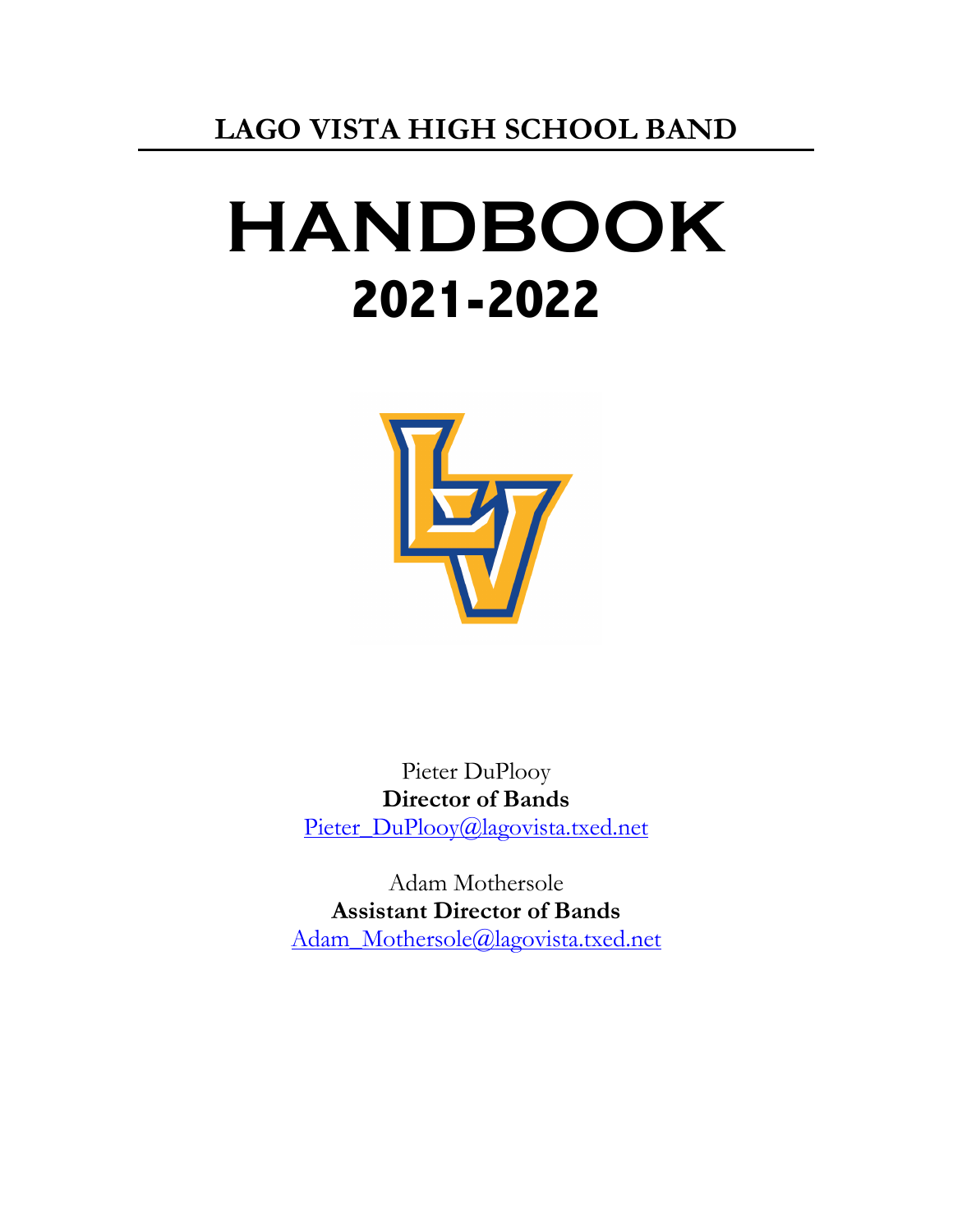# **HANDBOOK 2021-2022**



Pieter DuPlooy **Director of Bands** Pieter\_DuPlooy@lagovista.txed.net

Adam Mothersole **Assistant Director of Bands** Adam\_Mothersole@lagovista.txed.net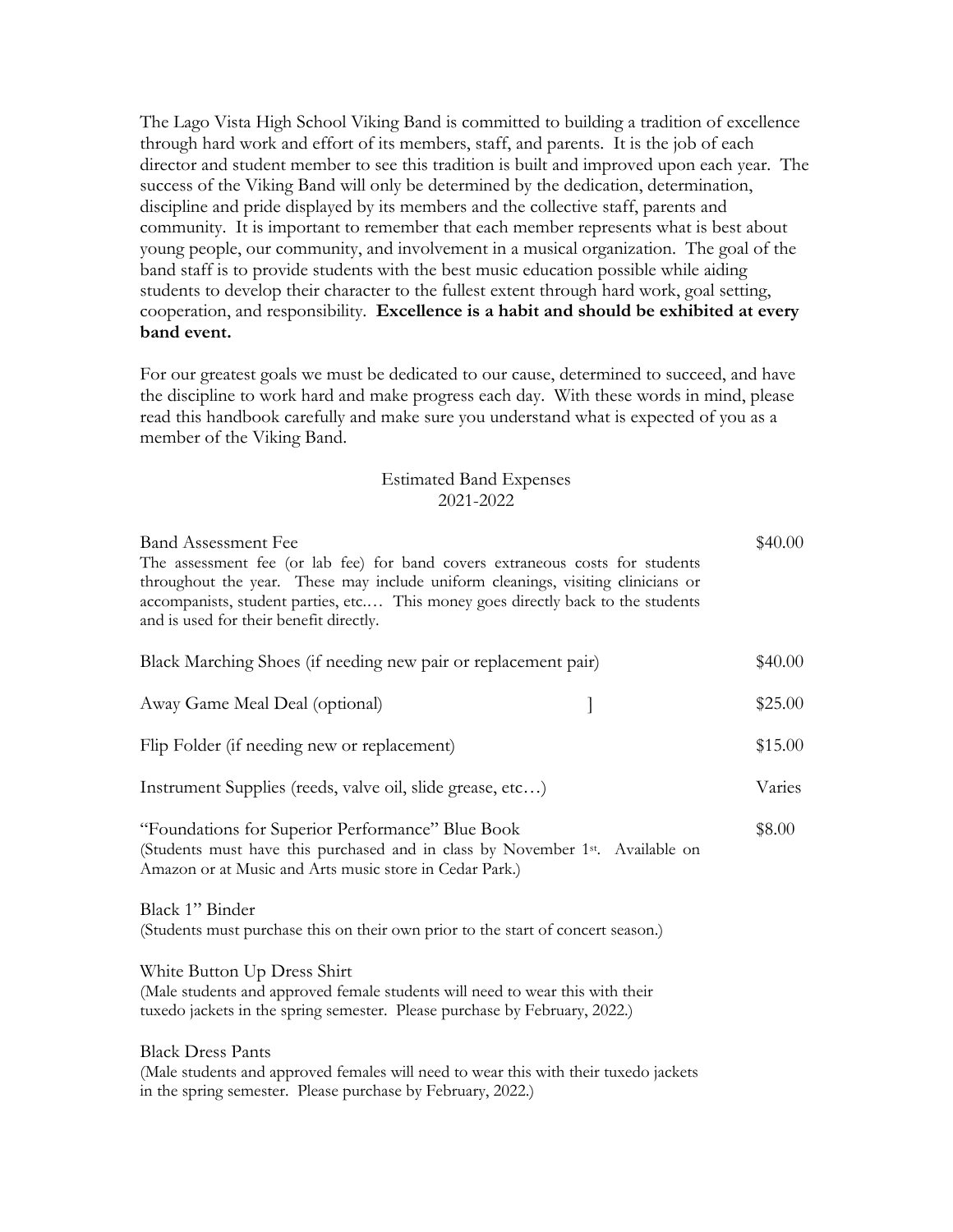The Lago Vista High School Viking Band is committed to building a tradition of excellence through hard work and effort of its members, staff, and parents. It is the job of each director and student member to see this tradition is built and improved upon each year. The success of the Viking Band will only be determined by the dedication, determination, discipline and pride displayed by its members and the collective staff, parents and community. It is important to remember that each member represents what is best about young people, our community, and involvement in a musical organization. The goal of the band staff is to provide students with the best music education possible while aiding students to develop their character to the fullest extent through hard work, goal setting, cooperation, and responsibility. **Excellence is a habit and should be exhibited at every band event.** 

For our greatest goals we must be dedicated to our cause, determined to succeed, and have the discipline to work hard and make progress each day. With these words in mind, please read this handbook carefully and make sure you understand what is expected of you as a member of the Viking Band.

#### Estimated Band Expenses 2021-2022

| <b>Band Assessment Fee</b><br>The assessment fee (or lab fee) for band covers extraneous costs for students<br>throughout the year. These may include uniform cleanings, visiting clinicians or<br>accompanists, student parties, etc This money goes directly back to the students<br>and is used for their benefit directly. | \$40.00 |
|--------------------------------------------------------------------------------------------------------------------------------------------------------------------------------------------------------------------------------------------------------------------------------------------------------------------------------|---------|
| Black Marching Shoes (if needing new pair or replacement pair)                                                                                                                                                                                                                                                                 | \$40.00 |
| Away Game Meal Deal (optional)<br>]                                                                                                                                                                                                                                                                                            | \$25.00 |
| Flip Folder (if needing new or replacement)                                                                                                                                                                                                                                                                                    | \$15.00 |
| Instrument Supplies (reeds, valve oil, slide grease, etc)                                                                                                                                                                                                                                                                      |         |
| "Foundations for Superior Performance" Blue Book<br>(Students must have this purchased and in class by November 1st. Available on<br>Amazon or at Music and Arts music store in Cedar Park.)                                                                                                                                   |         |
| Black 1" Binder<br>(Students must purchase this on their own prior to the start of concert season.)                                                                                                                                                                                                                            |         |
| White Button Up Dress Shirt<br>(Male students and approved female students will need to wear this with their<br>tuxedo jackets in the spring semester. Please purchase by February, 2022.)                                                                                                                                     |         |
| <b>Black Dress Pants</b><br>(Male students and approved females will need to wear this with their tuxedo jackets<br>in the spring semester. Please purchase by February, 2022.)                                                                                                                                                |         |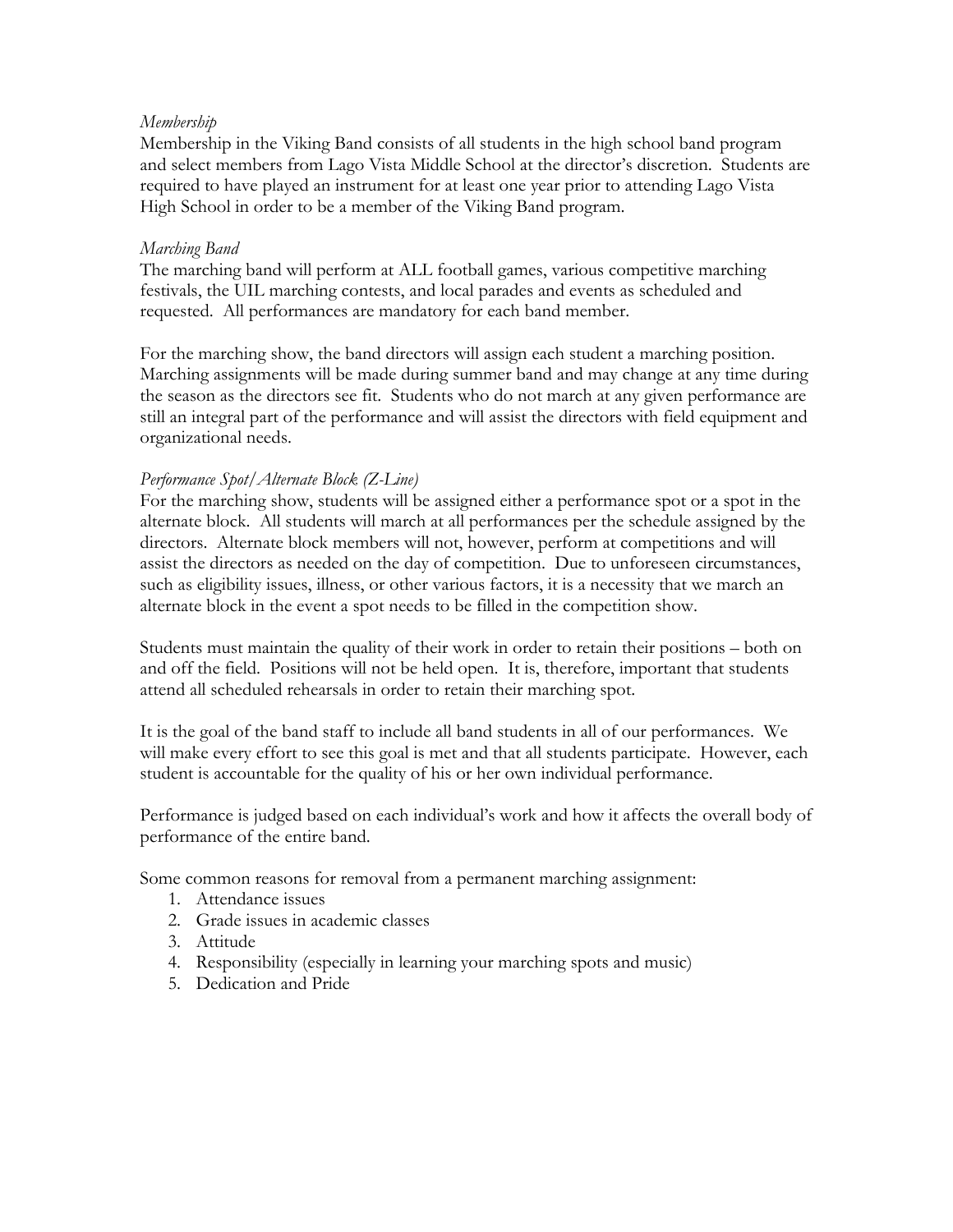# *Membership*

Membership in the Viking Band consists of all students in the high school band program and select members from Lago Vista Middle School at the director's discretion. Students are required to have played an instrument for at least one year prior to attending Lago Vista High School in order to be a member of the Viking Band program.

# *Marching Band*

The marching band will perform at ALL football games, various competitive marching festivals, the UIL marching contests, and local parades and events as scheduled and requested. All performances are mandatory for each band member.

For the marching show, the band directors will assign each student a marching position. Marching assignments will be made during summer band and may change at any time during the season as the directors see fit. Students who do not march at any given performance are still an integral part of the performance and will assist the directors with field equipment and organizational needs.

# *Performance Spot/Alternate Block (Z-Line)*

For the marching show, students will be assigned either a performance spot or a spot in the alternate block. All students will march at all performances per the schedule assigned by the directors. Alternate block members will not, however, perform at competitions and will assist the directors as needed on the day of competition. Due to unforeseen circumstances, such as eligibility issues, illness, or other various factors, it is a necessity that we march an alternate block in the event a spot needs to be filled in the competition show.

Students must maintain the quality of their work in order to retain their positions – both on and off the field. Positions will not be held open. It is, therefore, important that students attend all scheduled rehearsals in order to retain their marching spot.

It is the goal of the band staff to include all band students in all of our performances. We will make every effort to see this goal is met and that all students participate. However, each student is accountable for the quality of his or her own individual performance.

Performance is judged based on each individual's work and how it affects the overall body of performance of the entire band.

Some common reasons for removal from a permanent marching assignment:

- 1. Attendance issues
- 2. Grade issues in academic classes
- 3. Attitude
- 4. Responsibility (especially in learning your marching spots and music)
- 5. Dedication and Pride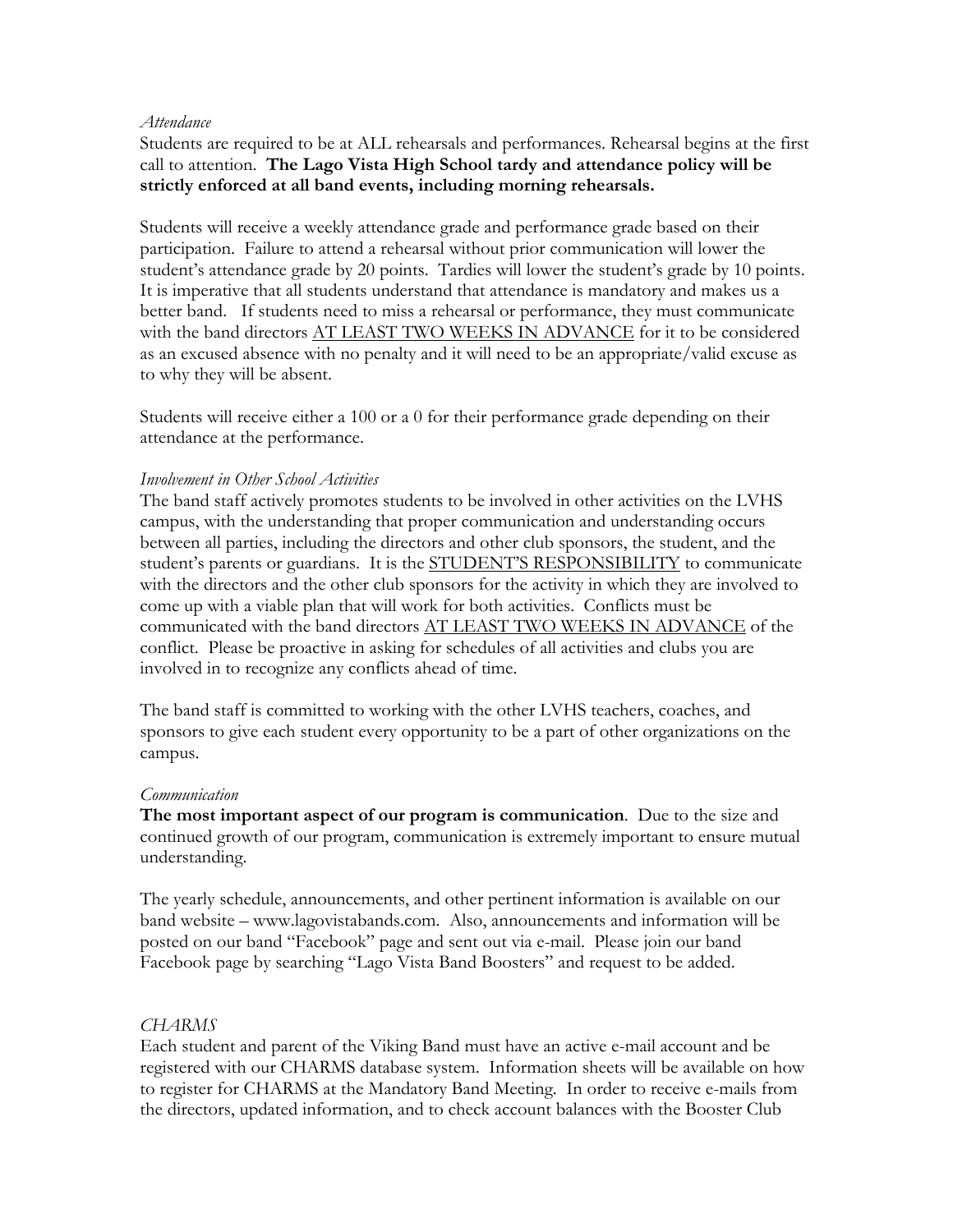#### *Attendance*

Students are required to be at ALL rehearsals and performances. Rehearsal begins at the first call to attention. **The Lago Vista High School tardy and attendance policy will be strictly enforced at all band events, including morning rehearsals.**

Students will receive a weekly attendance grade and performance grade based on their participation. Failure to attend a rehearsal without prior communication will lower the student's attendance grade by 20 points. Tardies will lower the student's grade by 10 points. It is imperative that all students understand that attendance is mandatory and makes us a better band. If students need to miss a rehearsal or performance, they must communicate with the band directors AT LEAST TWO WEEKS IN ADVANCE for it to be considered as an excused absence with no penalty and it will need to be an appropriate/valid excuse as to why they will be absent.

Students will receive either a 100 or a 0 for their performance grade depending on their attendance at the performance.

# *Involvement in Other School Activities*

The band staff actively promotes students to be involved in other activities on the LVHS campus, with the understanding that proper communication and understanding occurs between all parties, including the directors and other club sponsors, the student, and the student's parents or guardians. It is the **STUDENT'S RESPONSIBILITY** to communicate with the directors and the other club sponsors for the activity in which they are involved to come up with a viable plan that will work for both activities. Conflicts must be communicated with the band directors AT LEAST TWO WEEKS IN ADVANCE of the conflict. Please be proactive in asking for schedules of all activities and clubs you are involved in to recognize any conflicts ahead of time.

The band staff is committed to working with the other LVHS teachers, coaches, and sponsors to give each student every opportunity to be a part of other organizations on the campus.

# *Communication*

**The most important aspect of our program is communication**. Due to the size and continued growth of our program, communication is extremely important to ensure mutual understanding.

The yearly schedule, announcements, and other pertinent information is available on our band website – www.lagovistabands.com. Also, announcements and information will be posted on our band "Facebook" page and sent out via e-mail. Please join our band Facebook page by searching "Lago Vista Band Boosters" and request to be added.

# *CHARMS*

Each student and parent of the Viking Band must have an active e-mail account and be registered with our CHARMS database system. Information sheets will be available on how to register for CHARMS at the Mandatory Band Meeting. In order to receive e-mails from the directors, updated information, and to check account balances with the Booster Club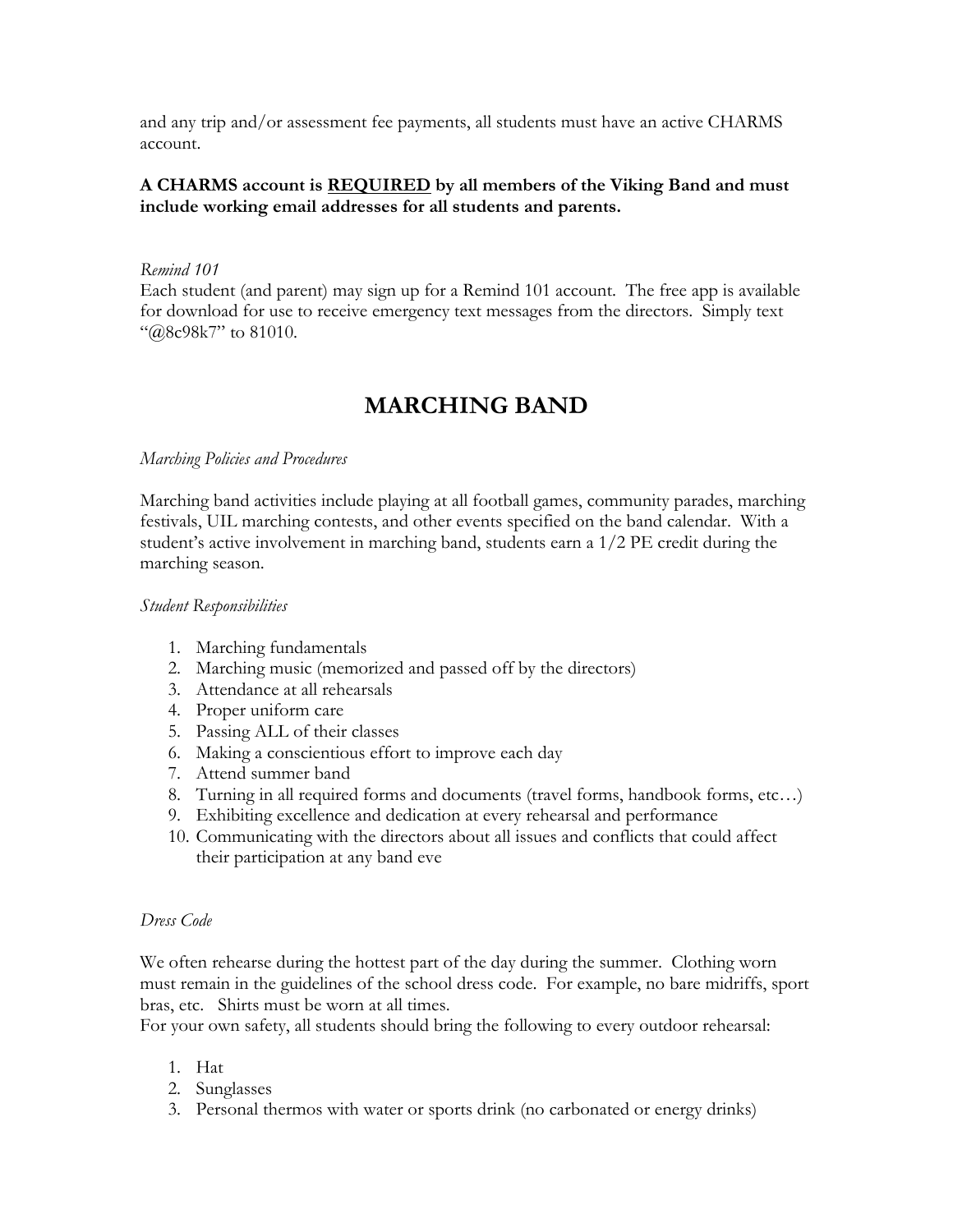and any trip and/or assessment fee payments, all students must have an active CHARMS account.

## **A CHARMS account is REQUIRED by all members of the Viking Band and must include working email addresses for all students and parents.**

#### *Remind 101*

Each student (and parent) may sign up for a Remind 101 account. The free app is available for download for use to receive emergency text messages from the directors. Simply text "@8c98k7" to 81010.

# **MARCHING BAND**

#### *Marching Policies and Procedures*

Marching band activities include playing at all football games, community parades, marching festivals, UIL marching contests, and other events specified on the band calendar. With a student's active involvement in marching band, students earn a 1/2 PE credit during the marching season.

#### *Student Responsibilities*

- 1. Marching fundamentals
- 2. Marching music (memorized and passed off by the directors)
- 3. Attendance at all rehearsals
- 4. Proper uniform care
- 5. Passing ALL of their classes
- 6. Making a conscientious effort to improve each day
- 7. Attend summer band
- 8. Turning in all required forms and documents (travel forms, handbook forms, etc…)
- 9. Exhibiting excellence and dedication at every rehearsal and performance
- 10. Communicating with the directors about all issues and conflicts that could affect their participation at any band eve

#### *Dress Code*

We often rehearse during the hottest part of the day during the summer. Clothing worn must remain in the guidelines of the school dress code. For example, no bare midriffs, sport bras, etc. Shirts must be worn at all times.

For your own safety, all students should bring the following to every outdoor rehearsal:

- 1. Hat
- 2. Sunglasses
- 3. Personal thermos with water or sports drink (no carbonated or energy drinks)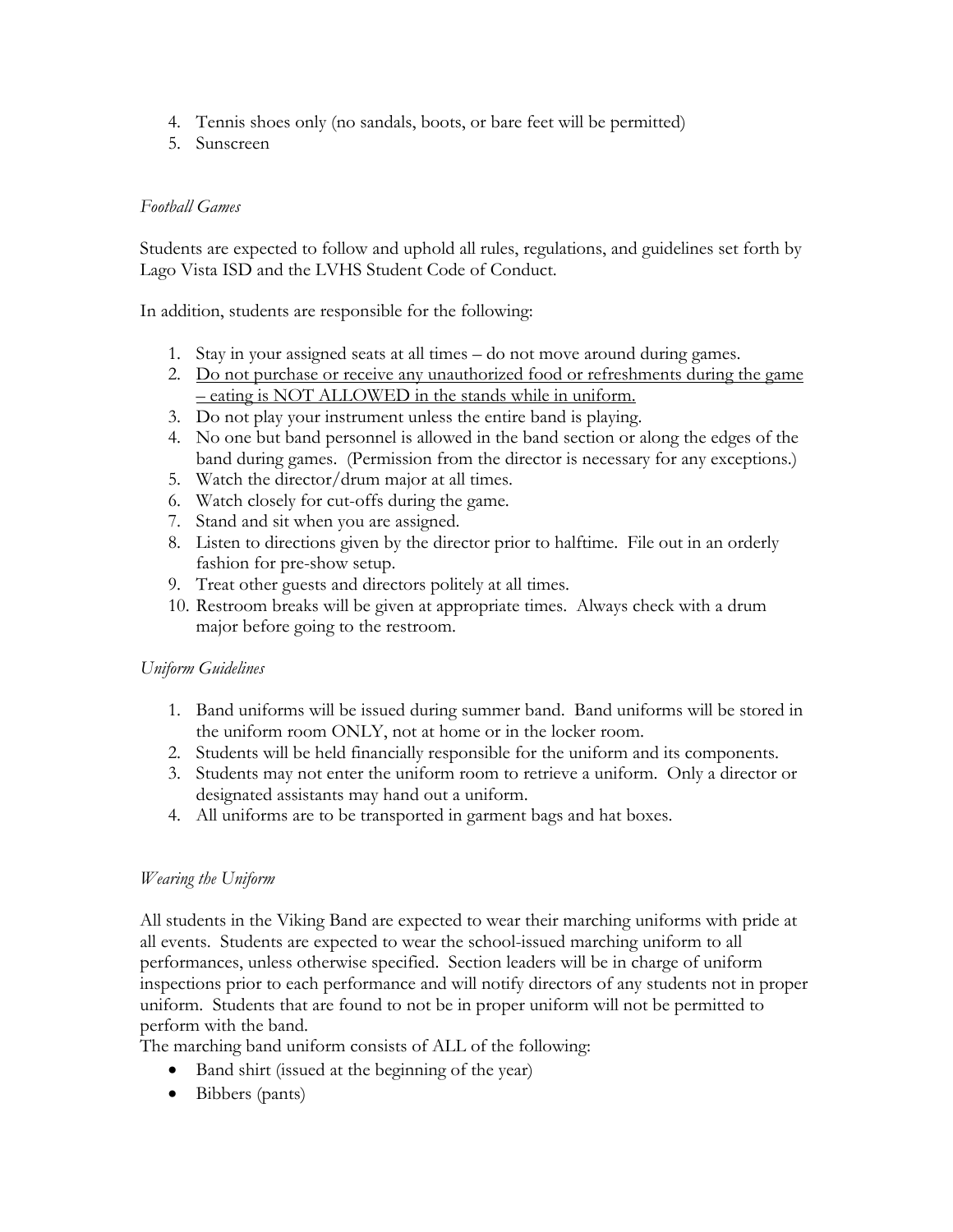- 4. Tennis shoes only (no sandals, boots, or bare feet will be permitted)
- 5. Sunscreen

# *Football Games*

Students are expected to follow and uphold all rules, regulations, and guidelines set forth by Lago Vista ISD and the LVHS Student Code of Conduct.

In addition, students are responsible for the following:

- 1. Stay in your assigned seats at all times do not move around during games.
- 2. Do not purchase or receive any unauthorized food or refreshments during the game – eating is NOT ALLOWED in the stands while in uniform.
- 3. Do not play your instrument unless the entire band is playing.
- 4. No one but band personnel is allowed in the band section or along the edges of the band during games. (Permission from the director is necessary for any exceptions.)
- 5. Watch the director/drum major at all times.
- 6. Watch closely for cut-offs during the game.
- 7. Stand and sit when you are assigned.
- 8. Listen to directions given by the director prior to halftime. File out in an orderly fashion for pre-show setup.
- 9. Treat other guests and directors politely at all times.
- 10. Restroom breaks will be given at appropriate times. Always check with a drum major before going to the restroom.

# *Uniform Guidelines*

- 1. Band uniforms will be issued during summer band. Band uniforms will be stored in the uniform room ONLY, not at home or in the locker room.
- 2. Students will be held financially responsible for the uniform and its components.
- 3. Students may not enter the uniform room to retrieve a uniform. Only a director or designated assistants may hand out a uniform.
- 4. All uniforms are to be transported in garment bags and hat boxes.

# *Wearing the Uniform*

All students in the Viking Band are expected to wear their marching uniforms with pride at all events. Students are expected to wear the school-issued marching uniform to all performances, unless otherwise specified. Section leaders will be in charge of uniform inspections prior to each performance and will notify directors of any students not in proper uniform. Students that are found to not be in proper uniform will not be permitted to perform with the band.

The marching band uniform consists of ALL of the following:

- Band shirt (issued at the beginning of the year)
- Bibbers (pants)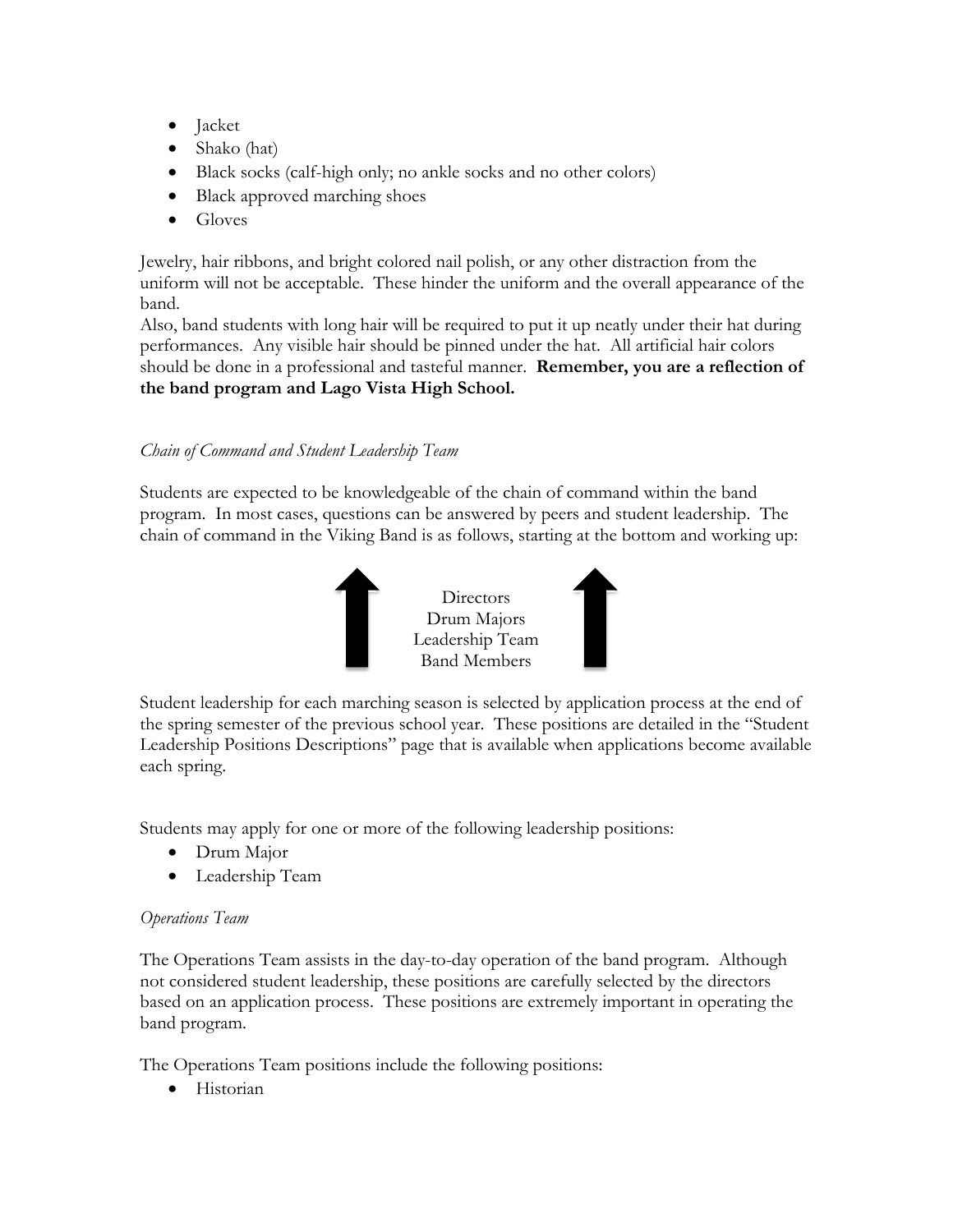- Jacket
- Shako (hat)
- Black socks (calf-high only; no ankle socks and no other colors)
- Black approved marching shoes
- Gloves

Jewelry, hair ribbons, and bright colored nail polish, or any other distraction from the uniform will not be acceptable. These hinder the uniform and the overall appearance of the band.

Also, band students with long hair will be required to put it up neatly under their hat during performances. Any visible hair should be pinned under the hat. All artificial hair colors should be done in a professional and tasteful manner. **Remember, you are a reflection of the band program and Lago Vista High School.**

# *Chain of Command and Student Leadership Team*

Students are expected to be knowledgeable of the chain of command within the band program. In most cases, questions can be answered by peers and student leadership. The chain of command in the Viking Band is as follows, starting at the bottom and working up:



Student leadership for each marching season is selected by application process at the end of the spring semester of the previous school year. These positions are detailed in the "Student Leadership Positions Descriptions" page that is available when applications become available each spring.

Students may apply for one or more of the following leadership positions:

- Drum Major
- Leadership Team

# *Operations Team*

The Operations Team assists in the day-to-day operation of the band program. Although not considered student leadership, these positions are carefully selected by the directors based on an application process. These positions are extremely important in operating the band program.

The Operations Team positions include the following positions:

• Historian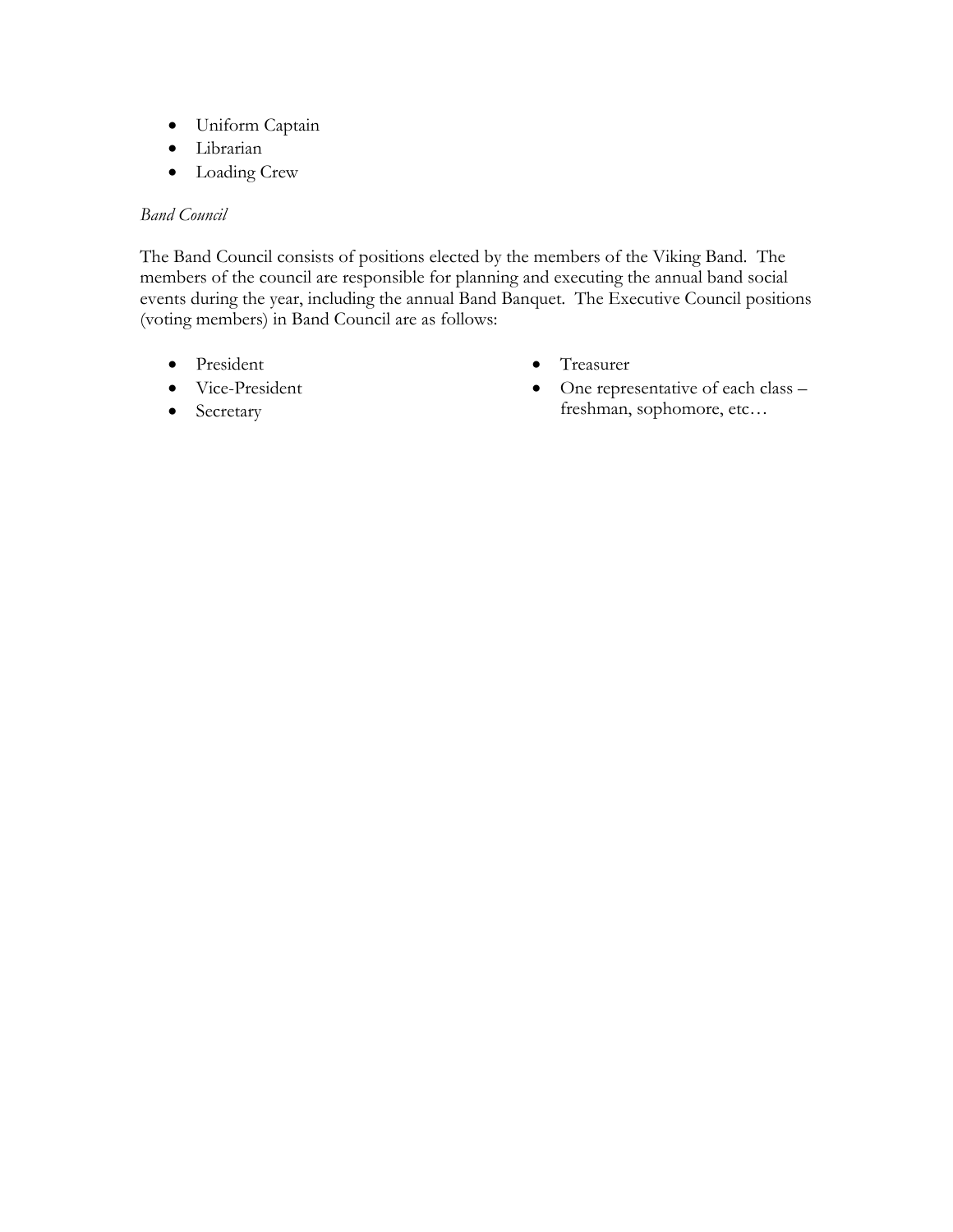- Uniform Captain
- Librarian
- Loading Crew

## *Band Council*

The Band Council consists of positions elected by the members of the Viking Band. The members of the council are responsible for planning and executing the annual band social events during the year, including the annual Band Banquet. The Executive Council positions (voting members) in Band Council are as follows:

- President
- Vice-President
- Secretary
- Treasurer
- One representative of each class freshman, sophomore, etc…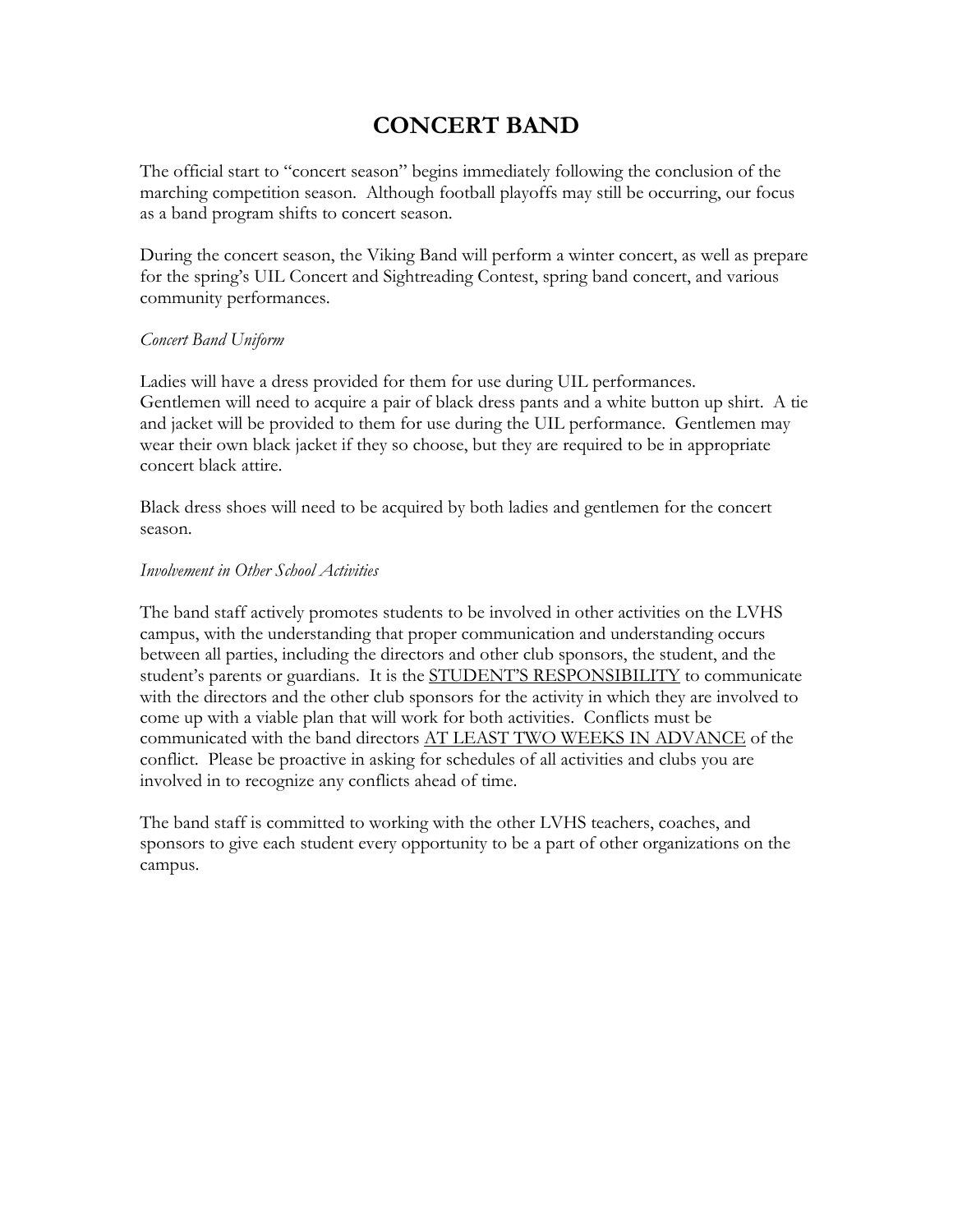# **CONCERT BAND**

The official start to "concert season" begins immediately following the conclusion of the marching competition season. Although football playoffs may still be occurring, our focus as a band program shifts to concert season.

During the concert season, the Viking Band will perform a winter concert, as well as prepare for the spring's UIL Concert and Sightreading Contest, spring band concert, and various community performances.

## *Concert Band Uniform*

Ladies will have a dress provided for them for use during UIL performances. Gentlemen will need to acquire a pair of black dress pants and a white button up shirt. A tie and jacket will be provided to them for use during the UIL performance. Gentlemen may wear their own black jacket if they so choose, but they are required to be in appropriate concert black attire.

Black dress shoes will need to be acquired by both ladies and gentlemen for the concert season.

## *Involvement in Other School Activities*

The band staff actively promotes students to be involved in other activities on the LVHS campus, with the understanding that proper communication and understanding occurs between all parties, including the directors and other club sponsors, the student, and the student's parents or guardians. It is the **STUDENT'S RESPONSIBILITY** to communicate with the directors and the other club sponsors for the activity in which they are involved to come up with a viable plan that will work for both activities. Conflicts must be communicated with the band directors AT LEAST TWO WEEKS IN ADVANCE of the conflict. Please be proactive in asking for schedules of all activities and clubs you are involved in to recognize any conflicts ahead of time.

The band staff is committed to working with the other LVHS teachers, coaches, and sponsors to give each student every opportunity to be a part of other organizations on the campus.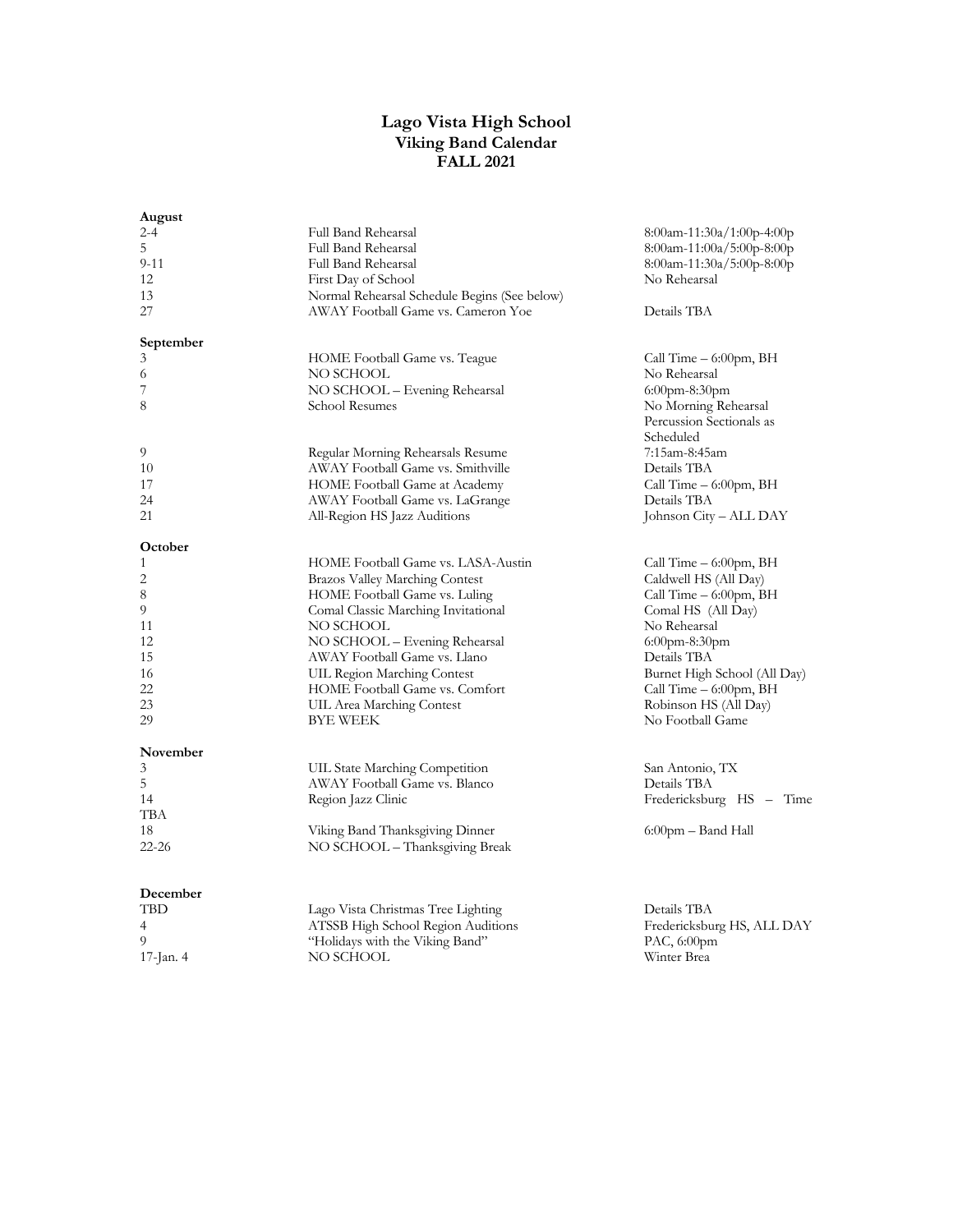#### **Lago Vista High School Viking Band Calendar FALL 2021**

| August      |                                              |                                         |
|-------------|----------------------------------------------|-----------------------------------------|
| $2 - 4$     | Full Band Rehearsal                          | $8:00$ am-11:30a/1:00p-4:00p            |
| 5           | Full Band Rehearsal                          | $8:00$ am-11:00a/5:00p-8:00p            |
| $9 - 11$    | Full Band Rehearsal                          | $8:00$ am-11:30a/5:00p-8:00p            |
| 12          | First Day of School                          | No Rehearsal                            |
| 13          | Normal Rehearsal Schedule Begins (See below) |                                         |
| 27          | AWAY Football Game vs. Cameron Yoe           | Details TBA                             |
|             |                                              |                                         |
| September   |                                              |                                         |
| 3           | HOME Football Game vs. Teague                | Call Time $-6:00$ pm, BH                |
| 6           | NO SCHOOL                                    | No Rehearsal                            |
| 7           | NO SCHOOL – Evening Rehearsal                | $6:00$ pm-8:30pm                        |
| 8           | School Resumes                               | No Morning Rehearsal                    |
|             |                                              | Percussion Sectionals as                |
|             |                                              | Scheduled                               |
| 9           | Regular Morning Rehearsals Resume            | 7:15am-8:45am                           |
| 10          | AWAY Football Game vs. Smithville            | Details TBA                             |
| 17          | HOME Football Game at Academy                |                                         |
|             |                                              | Call Time $-6:00$ pm, BH<br>Details TBA |
| 24          | AWAY Football Game vs. LaGrange              |                                         |
| 21          | All-Region HS Jazz Auditions                 | Johnson City – ALL DAY                  |
| October     |                                              |                                         |
| 1           | HOME Football Game vs. LASA-Austin           | Call Time $-6:00$ pm, BH                |
| 2           | <b>Brazos Valley Marching Contest</b>        | Caldwell HS (All Day)                   |
| 8           | HOME Football Game vs. Luling                | Call Time $-6:00$ pm, BH                |
| 9           | Comal Classic Marching Invitational          | Comal HS (All Day)                      |
| 11          | NO SCHOOL                                    | No Rehearsal                            |
| 12          | NO SCHOOL - Evening Rehearsal                |                                         |
| 15          |                                              | $6:00$ pm-8:30pm                        |
|             | AWAY Football Game vs. Llano                 | Details TBA                             |
| 16          | UIL Region Marching Contest                  | Burnet High School (All Day)            |
| 22          | HOME Football Game vs. Comfort               | Call Time $-6:00$ pm, BH                |
| 23          | UIL Area Marching Contest                    | Robinson HS (All Day)                   |
| 29          | BYE WEEK                                     | No Football Game                        |
| November    |                                              |                                         |
| 3           | UIL State Marching Competition               | San Antonio, TX                         |
| 5           | AWAY Football Game vs. Blanco                | Details TBA                             |
| 14          | Region Jazz Clinic                           | Fredericksburg HS - Time                |
| TBA         |                                              |                                         |
| 18          | Viking Band Thanksgiving Dinner              | $6:00$ pm – Band Hall                   |
| $22 - 26$   | NO SCHOOL – Thanksgiving Break               |                                         |
|             |                                              |                                         |
|             |                                              |                                         |
| December    |                                              |                                         |
| TBD         | Lago Vista Christmas Tree Lighting           | Details TBA                             |
| 4           | ATSSB High School Region Auditions           | Fredericksburg HS, ALL DAY              |
| 9           | "Holidays with the Viking Band"              | PAC, $6:00$ pm                          |
| 17-Jan. $4$ | NO SCHOOL                                    | Winter Brea                             |